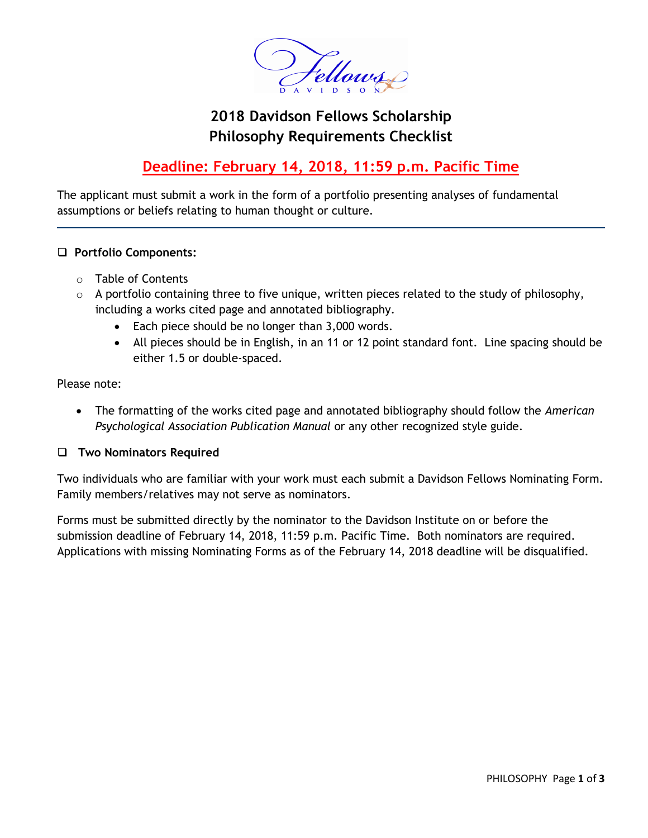

# **2018 Davidson Fellows Scholarship Philosophy Requirements Checklist**

## **Deadline: February 14, 2018, 11:59 p.m. Pacific Time**

The applicant must submit a work in the form of a portfolio presenting analyses of fundamental assumptions or beliefs relating to human thought or culture.

#### **Portfolio Components:**

- o Table of Contents
- o A portfolio containing three to five unique, written pieces related to the study of philosophy, including a works cited page and annotated bibliography.
	- Each piece should be no longer than 3,000 words.
	- All pieces should be in English, in an 11 or 12 point standard font. Line spacing should be either 1.5 or double-spaced.

Please note:

 The formatting of the works cited page and annotated bibliography should follow the *American Psychological Association Publication Manual* or any other recognized style guide.

#### **Two Nominators Required**

Two individuals who are familiar with your work must each submit a Davidson Fellows Nominating Form. Family members/relatives may not serve as nominators.

Forms must be submitted directly by the nominator to the Davidson Institute on or before the submission deadline of February 14, 2018, 11:59 p.m. Pacific Time. Both nominators are required. Applications with missing Nominating Forms as of the February 14, 2018 deadline will be disqualified.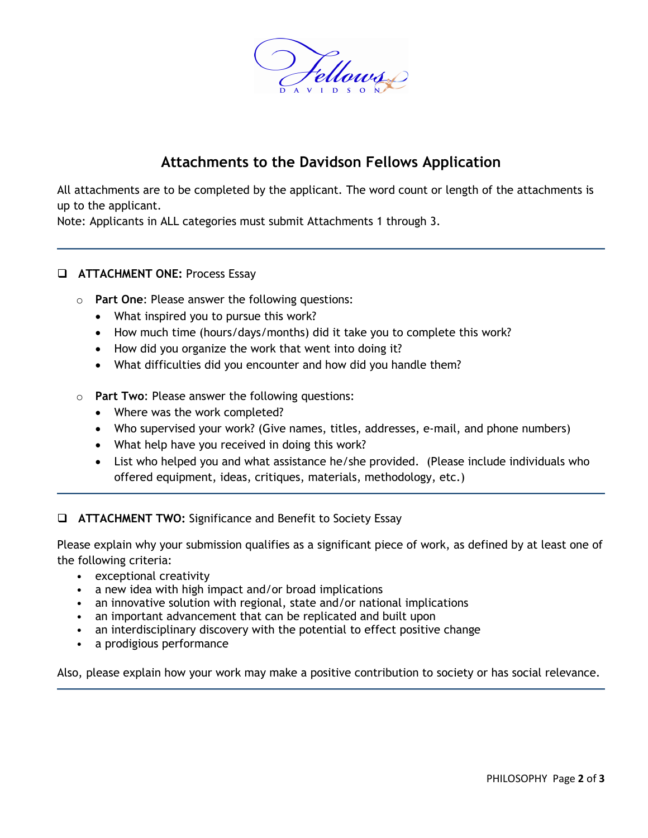

## **Attachments to the Davidson Fellows Application**

All attachments are to be completed by the applicant. The word count or length of the attachments is up to the applicant.

Note: Applicants in ALL categories must submit Attachments 1 through 3.

#### **ATTACHMENT ONE: Process Essay**

- o **Part One**: Please answer the following questions:
	- What inspired you to pursue this work?
	- How much time (hours/days/months) did it take you to complete this work?
	- How did you organize the work that went into doing it?
	- What difficulties did you encounter and how did you handle them?
- o **Part Two**: Please answer the following questions:
	- Where was the work completed?
	- Who supervised your work? (Give names, titles, addresses, e-mail, and phone numbers)
	- What help have you received in doing this work?
	- List who helped you and what assistance he/she provided. (Please include individuals who offered equipment, ideas, critiques, materials, methodology, etc.)

**ATTACHMENT TWO:** Significance and Benefit to Society Essay

Please explain why your submission qualifies as a significant piece of work, as defined by at least one of the following criteria:

- exceptional creativity
- a new idea with high impact and/or broad implications
- an innovative solution with regional, state and/or national implications
- an important advancement that can be replicated and built upon
- an interdisciplinary discovery with the potential to effect positive change
- a prodigious performance

Also, please explain how your work may make a positive contribution to society or has social relevance.